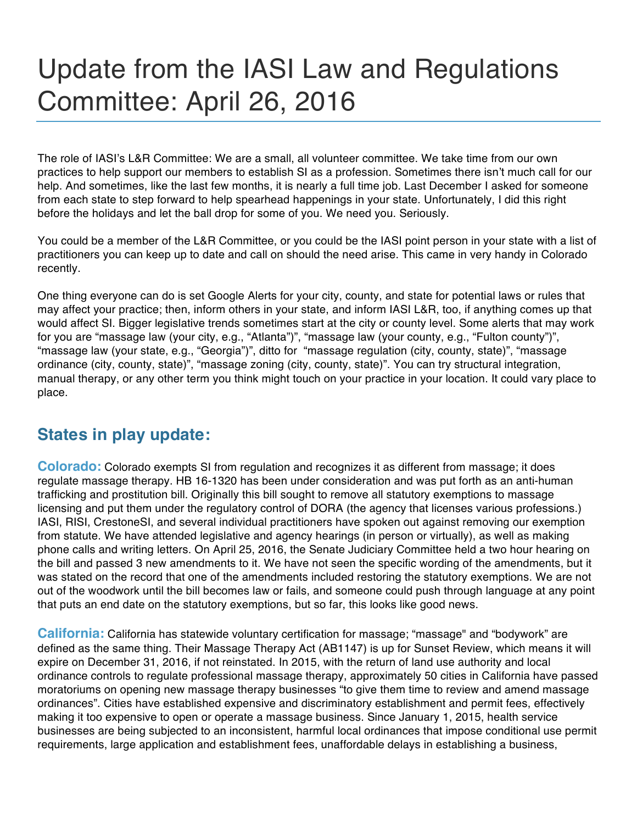## Update from the IASI Law and Regulations Committee: April 26, 2016

The role of IASI's L&R Committee: We are a small, all volunteer committee. We take time from our own practices to help support our members to establish SI as a profession. Sometimes there isn't much call for our help. And sometimes, like the last few months, it is nearly a full time job. Last December I asked for someone from each state to step forward to help spearhead happenings in your state. Unfortunately, I did this right before the holidays and let the ball drop for some of you. We need you. Seriously.

You could be a member of the L&R Committee, or you could be the IASI point person in your state with a list of practitioners you can keep up to date and call on should the need arise. This came in very handy in Colorado recently.

One thing everyone can do is set Google Alerts for your city, county, and state for potential laws or rules that may affect your practice; then, inform others in your state, and inform IASI L&R, too, if anything comes up that would affect SI. Bigger legislative trends sometimes start at the city or county level. Some alerts that may work for you are "massage law (your city, e.g., "Atlanta")", "massage law (your county, e.g., "Fulton county")", "massage law (your state, e.g., "Georgia")", ditto for "massage regulation (city, county, state)", "massage ordinance (city, county, state)", "massage zoning (city, county, state)". You can try structural integration, manual therapy, or any other term you think might touch on your practice in your location. It could vary place to place.

## **States in play update:**

**Colorado:** Colorado exempts SI from regulation and recognizes it as different from massage; it does regulate massage therapy. HB 16-1320 has been under consideration and was put forth as an anti-human trafficking and prostitution bill. Originally this bill sought to remove all statutory exemptions to massage licensing and put them under the regulatory control of DORA (the agency that licenses various professions.) IASI, RISI, CrestoneSI, and several individual practitioners have spoken out against removing our exemption from statute. We have attended legislative and agency hearings (in person or virtually), as well as making phone calls and writing letters. On April 25, 2016, the Senate Judiciary Committee held a two hour hearing on the bill and passed 3 new amendments to it. We have not seen the specific wording of the amendments, but it was stated on the record that one of the amendments included restoring the statutory exemptions. We are not out of the woodwork until the bill becomes law or fails, and someone could push through language at any point that puts an end date on the statutory exemptions, but so far, this looks like good news.

**California:** California has statewide voluntary certification for massage; "massage" and "bodywork" are defined as the same thing. Their Massage Therapy Act (AB1147) is up for Sunset Review, which means it will expire on December 31, 2016, if not reinstated. In 2015, with the return of land use authority and local ordinance controls to regulate professional massage therapy, approximately 50 cities in California have passed moratoriums on opening new massage therapy businesses "to give them time to review and amend massage ordinances". Cities have established expensive and discriminatory establishment and permit fees, effectively making it too expensive to open or operate a massage business. Since January 1, 2015, health service businesses are being subjected to an inconsistent, harmful local ordinances that impose conditional use permit requirements, large application and establishment fees, unaffordable delays in establishing a business,